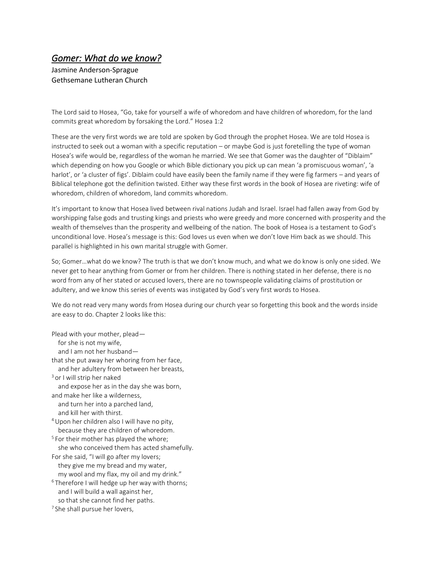## *Gomer: What do we know?*

Jasmine Anderson-Sprague Gethsemane Lutheran Church

The Lord said to Hosea, "Go, take for yourself a wife of whoredom and have children of whoredom, for the land commits great whoredom by forsaking the Lord." Hosea 1:2

These are the very first words we are told are spoken by God through the prophet Hosea. We are told Hosea is instructed to seek out a woman with a specific reputation – or maybe God is just foretelling the type of woman Hosea's wife would be, regardless of the woman he married. We see that Gomer was the daughter of "Diblaim" which depending on how you Google or which Bible dictionary you pick up can mean 'a promiscuous woman', 'a harlot', or 'a cluster of figs'. Diblaim could have easily been the family name if they were fig farmers – and years of Biblical telephone got the definition twisted. Either way these first words in the book of Hosea are riveting: wife of whoredom, children of whoredom, land commits whoredom.

It's important to know that Hosea lived between rival nations Judah and Israel. Israel had fallen away from God by worshipping false gods and trusting kings and priests who were greedy and more concerned with prosperity and the wealth of themselves than the prosperity and wellbeing of the nation. The book of Hosea is a testament to God's unconditional love. Hosea's message is this: God loves us even when we don't love Him back as we should. This parallel is highlighted in his own marital struggle with Gomer.

So; Gomer…what do we know? The truth is that we don't know much, and what we do know is only one sided. We never get to hear anything from Gomer or from her children. There is nothing stated in her defense, there is no word from any of her stated or accused lovers, there are no townspeople validating claims of prostitution or adultery, and we know this series of events was instigated by God's very first words to Hosea.

We do not read very many words from Hosea during our church year so forgetting this book and the words inside are easy to do. Chapter 2 looks like this:

Plead with your mother, plead for she is not my wife, and I am not her husband that she put away her whoring from her face, and her adultery from between her breasts, <sup>3</sup> or I will strip her naked and expose her as in the day she was born, and make her like a wilderness, and turn her into a parched land, and kill her with thirst. <sup>4</sup>Upon her children also I will have no pity, because they are children of whoredom. <sup>5</sup> For their mother has played the whore; she who conceived them has acted shamefully. For she said, "I will go after my lovers; they give me my bread and my water, my wool and my flax, my oil and my drink."  $6$ Therefore I will hedge up her way with thorns; and I will build a wall against her, so that she cannot find her paths. <sup>7</sup> She shall pursue her lovers,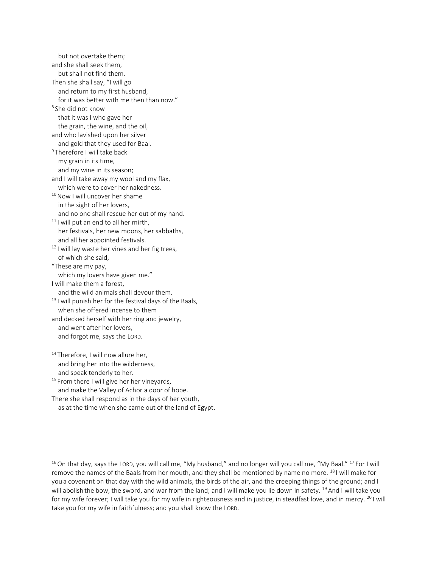but not overtake them; and she shall seek them, but shall not find them. Then she shall say, "I will go and return to my first husband, for it was better with me then than now." 8 She did not know that it was I who gave her the grain, the wine, and the oil, and who lavished upon her silver and gold that they used for Baal. <sup>9</sup> Therefore I will take back my grain in its time, and my wine in its season; and I will take away my wool and my flax, which were to cover her nakedness. <sup>10</sup> Now I will uncover her shame in the sight of her lovers, and no one shall rescue her out of my hand.  $11$  I will put an end to all her mirth, her festivals, her new moons, her sabbaths, and all her appointed festivals. <sup>12</sup> I will lay waste her vines and her fig trees, of which she said, "These are my pay, which my lovers have given me." I will make them a forest, and the wild animals shall devour them.  $13$  I will punish her for the festival days of the Baals, when she offered incense to them and decked herself with her ring and jewelry, and went after her lovers, and forgot me, says the LORD. 14 Therefore, I will now allure her, and bring her into the wilderness, and speak tenderly to her.

<sup>15</sup> From there I will give her her vineyards, and make the Valley of Achor a door of hope. There she shall respond as in the days of her youth,

as at the time when she came out of the land of Egypt.

<sup>16</sup> On that day, says the LORD, you will call me, "My husband," and no longer will you call me, "My Baal." <sup>17</sup> For I will remove the names of the Baals from her mouth, and they shall be mentioned by name no more. <sup>18</sup> I will make for you a covenant on that day with the wild animals, the birds of the air, and the creeping things of the ground; and I will abolish the bow, the sword, and war from the land; and I will make you lie down in safety. <sup>19</sup> And I will take you for my wife forever; I will take you for my wife in righteousness and in justice, in steadfast love, and in mercy. <sup>20</sup> I will take you for my wife in faithfulness; and you shall know the LORD.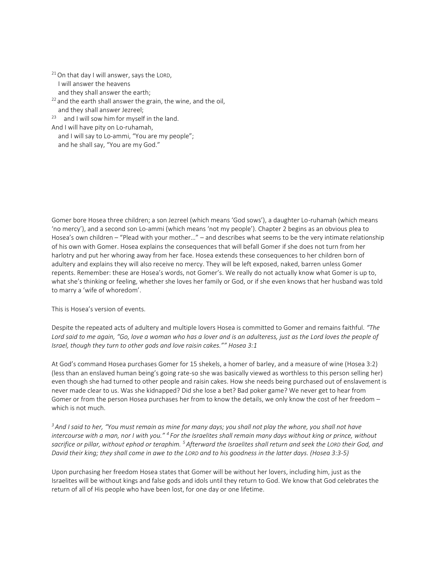<sup>21</sup> On that day I will answer, says the LORD, I will answer the heavens and they shall answer the earth;  $22$  and the earth shall answer the grain, the wine, and the oil, and they shall answer Jezreel;  $23$  and I will sow him for myself in the land. And I will have pity on Lo-ruhamah,

 and I will say to Lo-ammi, "You are my people"; and he shall say, "You are my God."

Gomer bore Hosea three children; a son Jezreel (which means 'God sows'), a daughter Lo-ruhamah (which means 'no mercy'), and a second son Lo-ammi (which means 'not my people'). Chapter 2 begins as an obvious plea to Hosea's own children – "Plead with your mother…" – and describes what seems to be the very intimate relationship of his own with Gomer. Hosea explains the consequences that will befall Gomer if she does not turn from her harlotry and put her whoring away from her face. Hosea extends these consequences to her children born of adultery and explains they will also receive no mercy. They will be left exposed, naked, barren unless Gomer repents. Remember: these are Hosea's words, not Gomer's. We really do not actually know what Gomer is up to, what she's thinking or feeling, whether she loves her family or God, or if she even knows that her husband was told to marry a 'wife of whoredom'.

This is Hosea's version of events.

Despite the repeated acts of adultery and multiple lovers Hosea is committed to Gomer and remains faithful. *"The*  Lord said to me again, "Go, love a woman who has a lover and is an adulteress, just as the Lord loves the people of *Israel, though they turn to other gods and love raisin cakes."" Hosea 3:1* 

At God's command Hosea purchases Gomer for 15 shekels, a homer of barley, and a measure of wine (Hosea 3:2) (less than an enslaved human being's going rate-so she was basically viewed as worthless to this person selling her) even though she had turned to other people and raisin cakes. How she needs being purchased out of enslavement is never made clear to us. Was she kidnapped? Did she lose a bet? Bad poker game? We never get to hear from Gomer or from the person Hosea purchases her from to know the details, we only know the cost of her freedom – which is not much.

*<sup>3</sup>And I said to her, "You must remain as mine for many days; you shall not play the whore, you shall not have intercourse with a man, nor I with you." <sup>4</sup> For the Israelites shall remain many days without king or prince, without sacrifice or pillar, without ephod or teraphim. <sup>5</sup>Afterward the Israelites shall return and seek the LORD their God, and David their king; they shall come in awe to the LORD and to his goodness in the latter days. (Hosea 3:3-5)*

Upon purchasing her freedom Hosea states that Gomer will be without her lovers, including him, just as the Israelites will be without kings and false gods and idols until they return to God. We know that God celebrates the return of all of His people who have been lost, for one day or one lifetime.